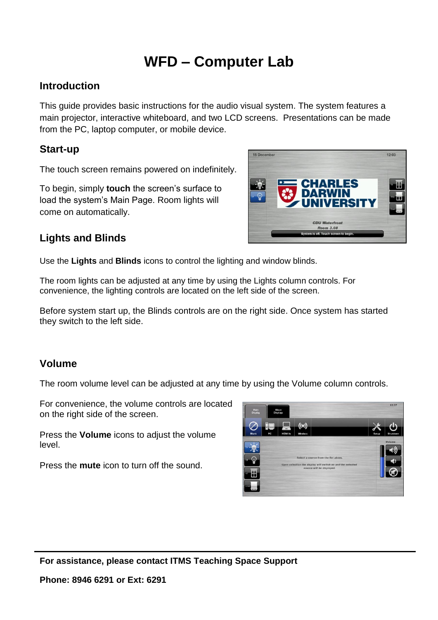# **WFD – Computer Lab**

#### **Introduction**

This guide provides basic instructions for the audio visual system. The system features a main projector, interactive whiteboard, and two LCD screens. Presentations can be made from the PC, laptop computer, or mobile device.

## **Start-up**

The touch screen remains powered on indefinitely.

To begin, simply **touch** the screen's surface to load the system's Main Page. Room lights will come on automatically.



## **Lights and Blinds**

Use the **Lights** and **Blinds** icons to control the lighting and window blinds.

The room lights can be adjusted at any time by using the Lights column controls. For convenience, the lighting controls are located on the left side of the screen.

Before system start up, the Blinds controls are on the right side. Once system has started they switch to the left side.

## **Volume**

The room volume level can be adjusted at any time by using the Volume column controls.

For convenience, the volume controls are located on the right side of the screen.

Press the **Volume** icons to adjust the volume level.

Press the **mute** icon to turn off the sound.



**For assistance, please contact ITMS Teaching Space Support**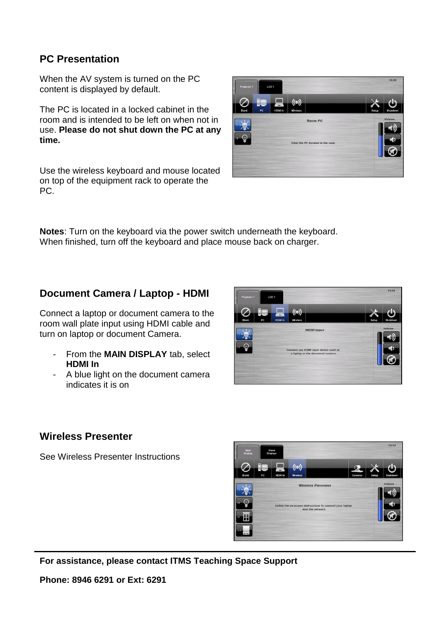## **PC Presentation**

When the AV system is turned on the PC content is displayed by default.

The PC is located in a locked cabinet in the room and is intended to be left on when not in use. **Please do not shut down the PC at any time.**

Use the wireless keyboard and mouse located on top of the equipment rack to operate the PC.



**Notes**: Turn on the keyboard via the power switch underneath the keyboard. When finished, turn off the keyboard and place mouse back on charger.

## **Document Camera / Laptop - HDMI**

Connect a laptop or document camera to the room wall plate input using HDMI cable and turn on laptop or document Camera.

- From the **MAIN DISPLAY** tab, select **HDMI In**
- A blue light on the document camera indicates it is on



#### **Wireless Presenter**

See Wireless Presenter Instructions



**For assistance, please contact ITMS Teaching Space Support**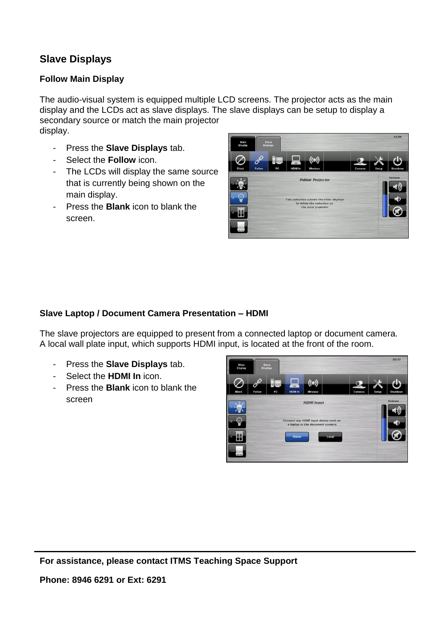# **Slave Displays**

#### **Follow Main Display**

The audio-visual system is equipped multiple LCD screens. The projector acts as the main display and the LCDs act as slave displays. The slave displays can be setup to display a secondary source or match the main projector display.

- Press the **Slave Displays** tab.
- Select the **Follow** icon.
- The LCDs will display the same source that is currently being shown on the main display.
- Press the **Blank** icon to blank the screen.



#### **Slave Laptop / Document Camera Presentation – HDMI**

The slave projectors are equipped to present from a connected laptop or document camera. A local wall plate input, which supports HDMI input, is located at the front of the room.

- Press the **Slave Displays** tab.
- Select the **HDMI In** icon.
- Press the **Blank** icon to blank the screen